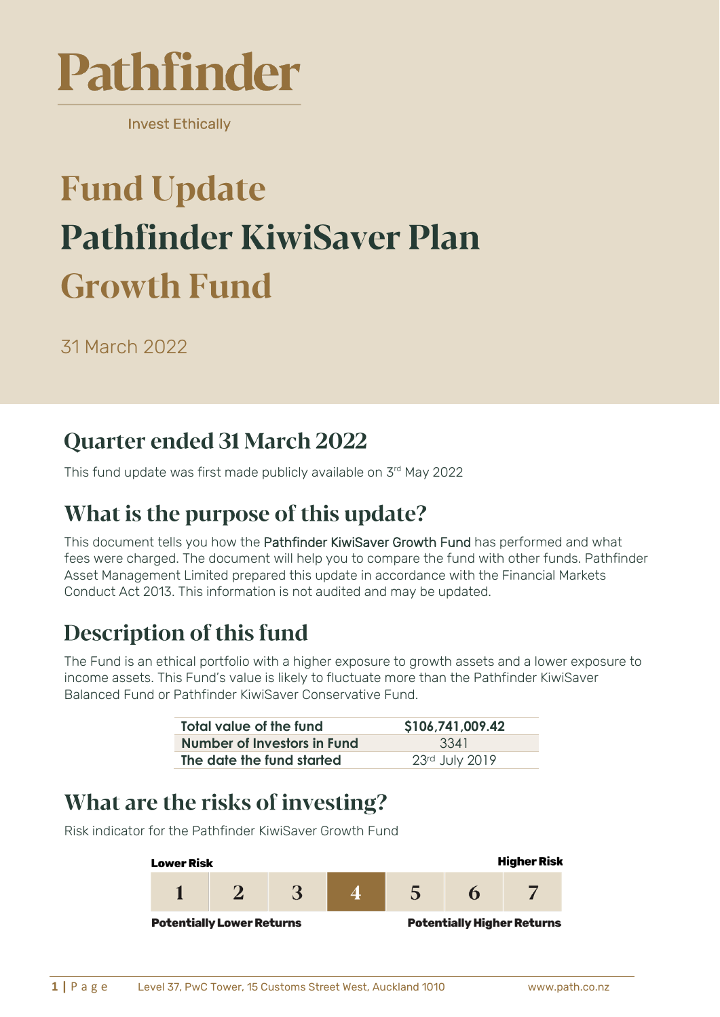

**Invest Ethically** 

# **Fund Update Pathfinder KiwiSaver Plan Growth Fund**

31 March 2022

#### Quarter ended 31 March 2022

This fund update was first made publicly available on 3 rd May 2022

#### What is the purpose of this update?

This document tells you how the Pathfinder KiwiSaver Growth Fund has performed and what fees were charged. The document will help you to compare the fund with other funds. Pathfinder Asset Management Limited prepared this update in accordance with the Financial Markets Conduct Act 2013. This information is not audited and may be updated.

### **Description of this fund**

The Fund is an ethical portfolio with a higher exposure to growth assets and a lower exposure to income assets. This Fund's value is likely to fluctuate more than the Pathfinder KiwiSaver Balanced Fund or Pathfinder KiwiSaver Conservative Fund.

| Total value of the fund     | \$106,741,009.42 |  |
|-----------------------------|------------------|--|
| Number of Investors in Fund | 3341             |  |
| The date the fund started   | 23rd July 2019   |  |

#### What are the risks of investing?

**Higher Risk Lower Risk** 3 5 1  $\overline{2}$ 6 7 **Potentially Lower Returns Potentially Higher Returns** 

Risk indicator for the Pathfinder KiwiSaver Growth Fund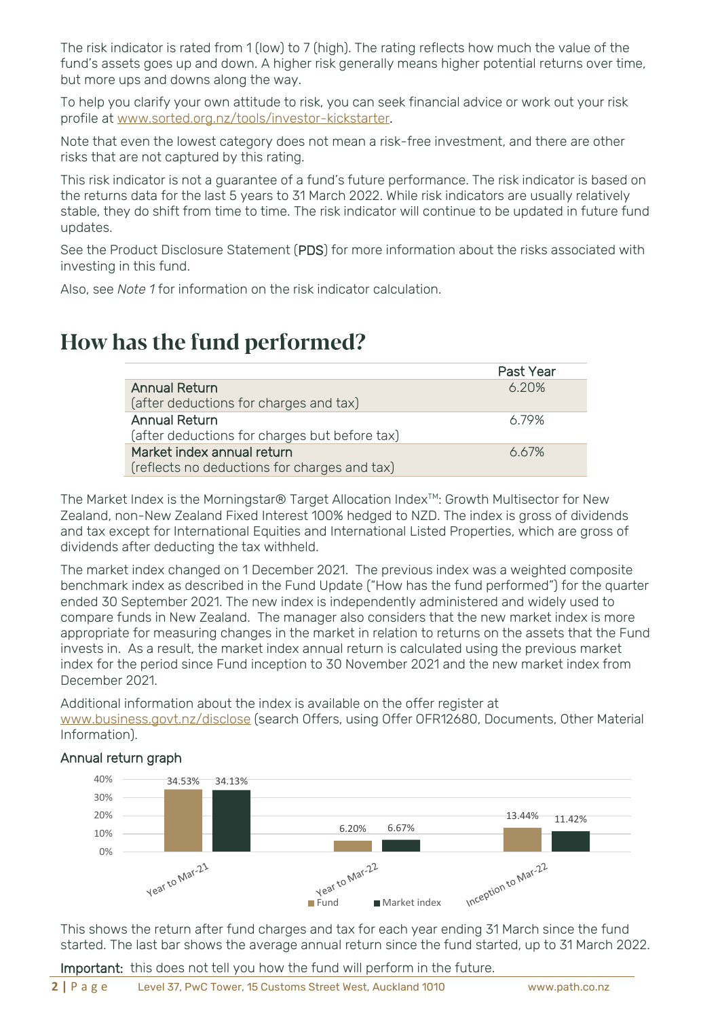The risk indicator is rated from 1 (low) to 7 (high). The rating reflects how much the value of the fund's assets goes up and down. A higher risk generally means higher potential returns over time, but more ups and downs along the way.

To help you clarify your own attitude to risk, you can seek financial advice or work out your risk profile at [www.sorted.org.nz/tools/investor-kickstarter.](http://www.sorted.org.nz/tools/investor-kickstarter)

Note that even the lowest category does not mean a risk-free investment, and there are other risks that are not captured by this rating.

This risk indicator is not a guarantee of a fund's future performance. The risk indicator is based on the returns data for the last 5 years to 31 March 2022. While risk indicators are usually relatively stable, they do shift from time to time. The risk indicator will continue to be updated in future fund updates.

See the Product Disclosure Statement (PDS) for more information about the risks associated with investing in this fund.

Also, see *Note 1* for information on the risk indicator calculation.

#### How has the fund performed?

|                                               | Past Year |
|-----------------------------------------------|-----------|
| <b>Annual Return</b>                          | 6.20%     |
| (after deductions for charges and tax)        |           |
| <b>Annual Return</b>                          | 6 79%     |
| (after deductions for charges but before tax) |           |
| Market index annual return                    | 667%      |
| (reflects no deductions for charges and tax)  |           |

The Market Index is the Morningstar® Target Allocation Index<sup>™</sup>: Growth Multisector for New Zealand, non-New Zealand Fixed Interest 100% hedged to NZD. The index is gross of dividends and tax except for International Equities and International Listed Properties, which are gross of dividends after deducting the tax withheld.

The market index changed on 1 December 2021. The previous index was a weighted composite benchmark index as described in the Fund Update ("How has the fund performed") for the quarter ended 30 September 2021. The new index is independently administered and widely used to compare funds in New Zealand. The manager also considers that the new market index is more appropriate for measuring changes in the market in relation to returns on the assets that the Fund invests in. As a result, the market index annual return is calculated using the previous market index for the period since Fund inception to 30 November 2021 and the new market index from December 2021.

Additional information about the index is available on the offer register at [www.business.govt.nz/disclose](http://www.business.govt.nz/disclose) (search Offers, using Offer OFR12680, Documents, Other Material Information).

#### Annual return graph 40% 34.53% 34.13% 30% 20% 13.44% 11.42% 6.20% 6.67% 10%  $0\%$  $\frac{1}{2}$   $\frac{1}{2}$  Fund Market index Inception to Mar-22 Year to Mar-21

This shows the return after fund charges and tax for each year ending 31 March since the fund started. The last bar shows the average annual return since the fund started, up to 31 March 2022.

Important: this does not tell you how the fund will perform in the future.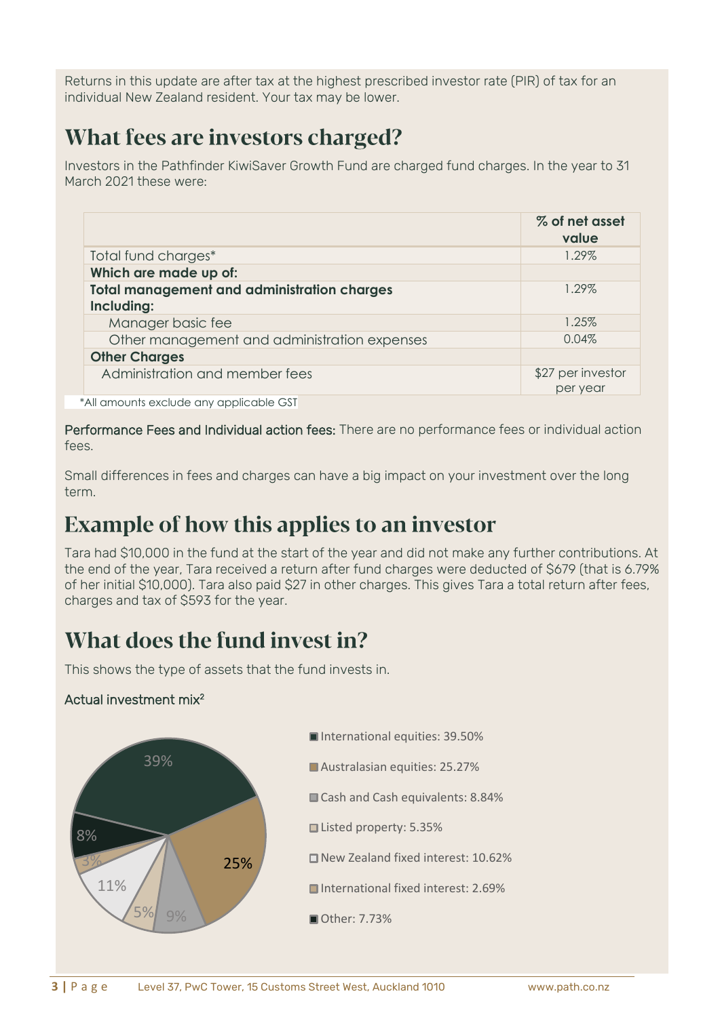Returns in this update are after tax at the highest prescribed investor rate (PIR) of tax for an individual New Zealand resident. Your tax may be lower.

### What fees are investors charged?

Investors in the Pathfinder KiwiSaver Growth Fund are charged fund charges. In the year to 31 March 2021 these were:

|                                                                  | % of net asset<br>value       |
|------------------------------------------------------------------|-------------------------------|
| Total fund charges*                                              | 1.29%                         |
| Which are made up of:                                            |                               |
| <b>Total management and administration charges</b><br>Including: | 1.29%                         |
| Manager basic fee                                                | 1.25%                         |
| Other management and administration expenses                     | 0.04%                         |
| <b>Other Charges</b>                                             |                               |
| Administration and member fees                                   | \$27 per investor<br>per year |

\*All amounts exclude any applicable GST

Performance Fees and Individual action fees: There are no performance fees or individual action fees.

Small differences in fees and charges can have a big impact on your investment over the long term.

### **Example of how this applies to an investor**

Tara had \$10,000 in the fund at the start of the year and did not make any further contributions. At the end of the year, Tara received a return after fund charges were deducted of \$679 (that is 6.79% of her initial \$10,000). Tara also paid \$27 in other charges. This gives Tara a total return after fees, charges and tax of \$593 for the year.

### What does the fund invest in?

This shows the type of assets that the fund invests in.

#### Actual investment mix<sup>2</sup>

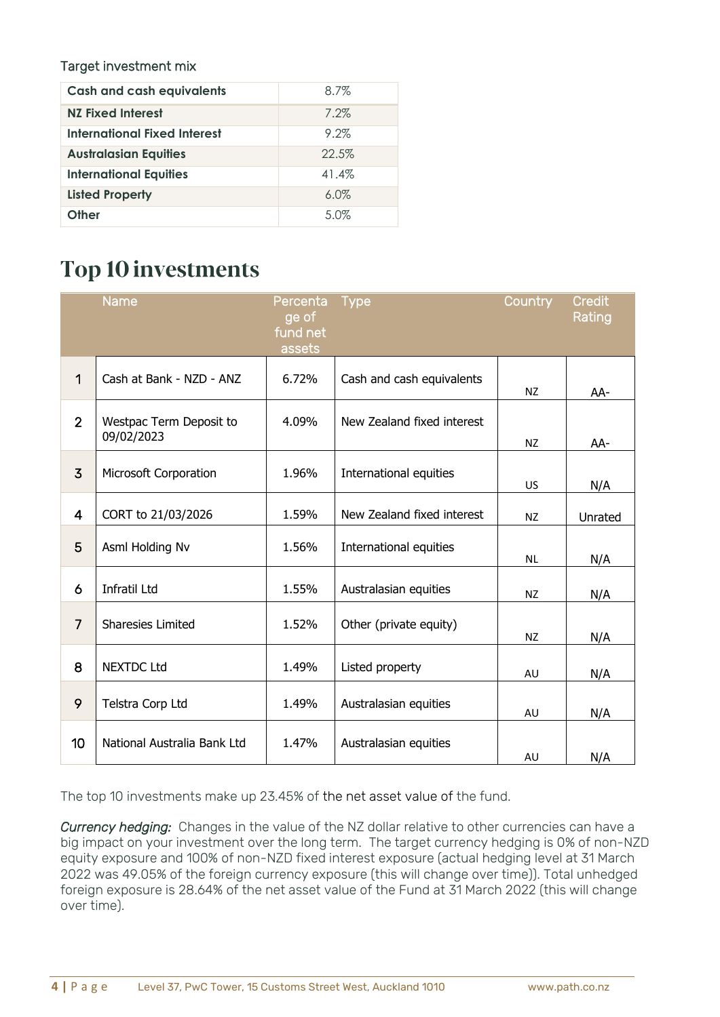#### Target investment mix

| <b>Cash and cash equivalents</b> | $8.7\%$ |
|----------------------------------|---------|
| <b>NZ Fixed Interest</b>         | 7.2%    |
| International Fixed Interest     | 9.2%    |
| <b>Australasian Equities</b>     | 22.5%   |
| <b>International Equities</b>    | 41.4%   |
| <b>Listed Property</b>           | 6.0%    |
| Other                            | 5.0%    |

## **Top 10 investments**

|                | Name                                  | Percenta<br>ge of<br>fund net<br>assets | <b>Type</b>                | Country   | <b>Credit</b><br>Rating |
|----------------|---------------------------------------|-----------------------------------------|----------------------------|-----------|-------------------------|
| 1              | Cash at Bank - NZD - ANZ              | 6.72%                                   | Cash and cash equivalents  | <b>NZ</b> | AA-                     |
| $\overline{2}$ | Westpac Term Deposit to<br>09/02/2023 | 4.09%                                   | New Zealand fixed interest | NZ        | AA-                     |
| $\overline{3}$ | Microsoft Corporation                 | 1.96%                                   | International equities     | US.       | N/A                     |
| $\overline{4}$ | CORT to 21/03/2026                    | 1.59%                                   | New Zealand fixed interest | <b>NZ</b> | Unrated                 |
| 5              | Asml Holding Nv                       | 1.56%                                   | International equities     | <b>NL</b> | N/A                     |
| 6              | Infratil Ltd                          | 1.55%                                   | Australasian equities      | <b>NZ</b> | N/A                     |
| $\overline{7}$ | <b>Sharesies Limited</b>              | 1.52%                                   | Other (private equity)     | <b>NZ</b> | N/A                     |
| 8              | <b>NEXTDC Ltd</b>                     | 1.49%                                   | Listed property            | AU        | N/A                     |
| 9              | Telstra Corp Ltd                      | 1.49%                                   | Australasian equities      | AU        | N/A                     |
| 10             | National Australia Bank Ltd           | 1.47%                                   | Australasian equities      | AU        | N/A                     |

The top 10 investments make up 23.45% of the net asset value of the fund.

*Currency hedging:* Changes in the value of the NZ dollar relative to other currencies can have a big impact on your investment over the long term. The target currency hedging is 0% of non-NZD equity exposure and 100% of non-NZD fixed interest exposure (actual hedging level at 31 March 2022 was 49.05% of the foreign currency exposure (this will change over time)). Total unhedged foreign exposure is 28.64% of the net asset value of the Fund at 31 March 2022 (this will change over time).